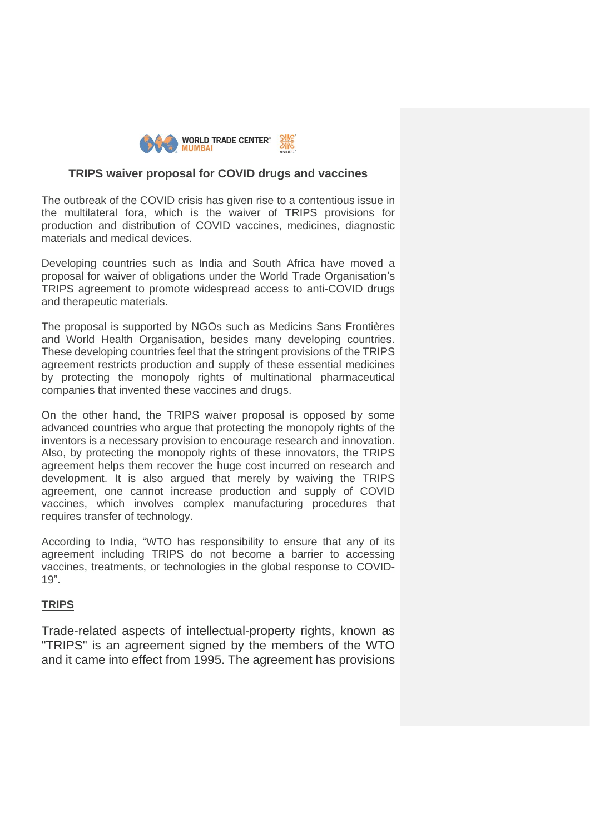

## **TRIPS waiver proposal for COVID drugs and vaccines**

The outbreak of the COVID crisis has given rise to a contentious issue in the multilateral fora, which is the waiver of TRIPS provisions for production and distribution of COVID vaccines, medicines, diagnostic materials and medical devices.

Developing countries such as India and South Africa have moved a proposal for waiver of obligations under the World Trade Organisation's TRIPS agreement to promote widespread access to anti-COVID drugs and therapeutic materials.

The proposal is supported by NGOs such as Medicins Sans Frontières and World Health Organisation, besides many developing countries. These developing countries feel that the stringent provisions of the TRIPS agreement restricts production and supply of these essential medicines by protecting the monopoly rights of multinational pharmaceutical companies that invented these vaccines and drugs.

On the other hand, the TRIPS waiver proposal is opposed by some advanced countries who argue that protecting the monopoly rights of the inventors is a necessary provision to encourage research and innovation. Also, by protecting the monopoly rights of these innovators, the TRIPS agreement helps them recover the huge cost incurred on research and development. It is also argued that merely by waiving the TRIPS agreement, one cannot increase production and supply of COVID vaccines, which involves complex manufacturing procedures that requires transfer of technology.

According to India, "WTO has responsibility to ensure that any of its agreement including TRIPS do not become a barrier to accessing vaccines, treatments, or technologies in the global response to COVID-19".

## **TRIPS**

Trade-related aspects of intellectual-property rights, known as "TRIPS" is an agreement signed by the members of the WTO and it came into effect from 1995. The agreement has provisions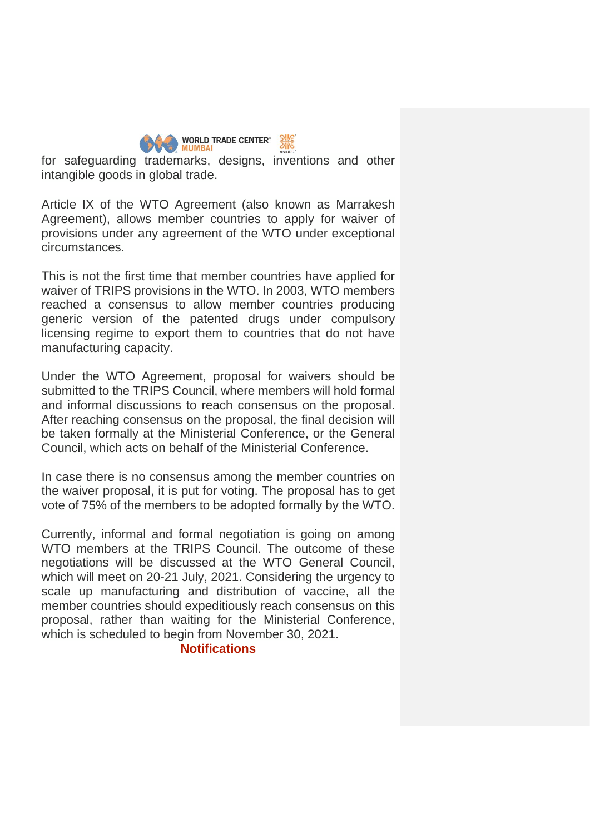| <b>MUMBAI</b> | <b>WORLD TRADE CENTER®</b> |  |
|---------------|----------------------------|--|
|               |                            |  |

for safeguarding trademarks, designs, inventions and other intangible goods in global trade.

Article IX of the WTO Agreement (also known as Marrakesh Agreement), allows member countries to apply for waiver of provisions under any agreement of the WTO under exceptional circumstances.

This is not the first time that member countries have applied for waiver of TRIPS provisions in the WTO. In 2003, WTO members reached a consensus to allow member countries producing generic version of the patented drugs under compulsory licensing regime to export them to countries that do not have manufacturing capacity.

Under the WTO Agreement, proposal for waivers should be submitted to the TRIPS Council, where members will hold formal and informal discussions to reach consensus on the proposal. After reaching consensus on the proposal, the final decision will be taken formally at the Ministerial Conference, or the General Council, which acts on behalf of the Ministerial Conference.

In case there is no consensus among the member countries on the waiver proposal, it is put for voting. The proposal has to get vote of 75% of the members to be adopted formally by the WTO.

Currently, informal and formal negotiation is going on among WTO members at the TRIPS Council. The outcome of these negotiations will be discussed at the WTO General Council, which will meet on 20-21 July, 2021. Considering the urgency to scale up manufacturing and distribution of vaccine, all the member countries should expeditiously reach consensus on this proposal, rather than waiting for the Ministerial Conference, which is scheduled to begin from November 30, 2021.

## **Notifications**